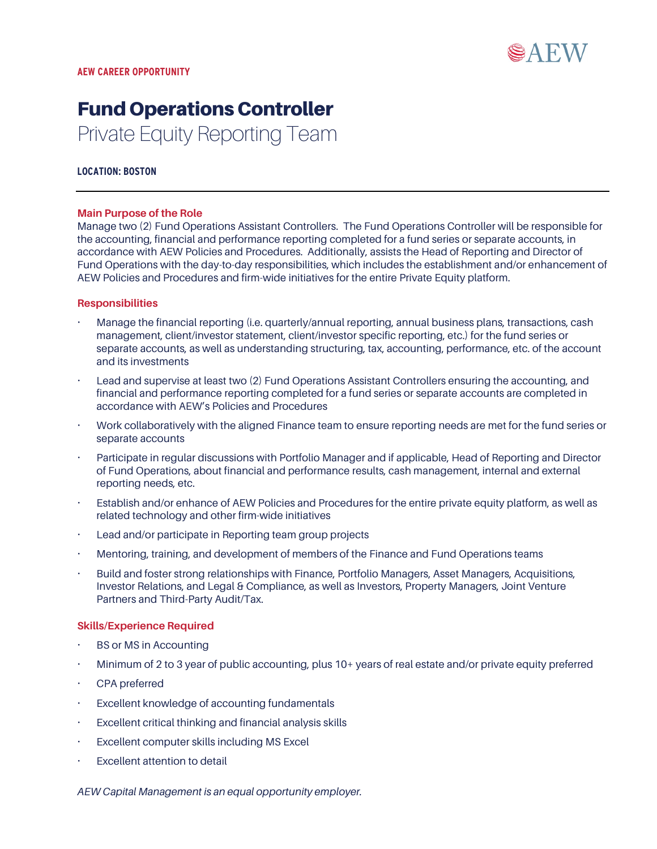

# Fund Operations Controller Private Equity Reporting Team

### **LOCATION: BOSTON**

#### **Main Purpose of the Role**

Manage two (2) Fund Operations Assistant Controllers. The Fund Operations Controller will be responsible for the accounting, financial and performance reporting completed for a fund series or separate accounts, in accordance with AEW Policies and Procedures. Additionally, assists the Head of Reporting and Director of Fund Operations with the day-to-day responsibilities, which includes the establishment and/or enhancement of AEW Policies and Procedures and firm-wide initiatives for the entire Private Equity platform.

#### **Responsibilities**

- Manage the financial reporting (i.e. quarterly/annual reporting, annual business plans, transactions, cash management, client/investor statement, client/investor specific reporting, etc.) for the fund series or separate accounts, as well as understanding structuring, tax, accounting, performance, etc. of the account and its investments
- Lead and supervise at least two (2) Fund Operations Assistant Controllers ensuring the accounting, and financial and performance reporting completed for a fund series or separate accounts are completed in accordance with AEW's Policies and Procedures
- Work collaboratively with the aligned Finance team to ensure reporting needs are met for the fund series or separate accounts
- Participate in regular discussions with Portfolio Manager and if applicable, Head of Reporting and Director of Fund Operations, about financial and performance results, cash management, internal and external reporting needs, etc.
- Establish and/or enhance of AEW Policies and Procedures for the entire private equity platform, as well as related technology and other firm-wide initiatives
- Lead and/or participate in Reporting team group projects
- Mentoring, training, and development of members of the Finance and Fund Operations teams
- Build and foster strong relationships with Finance, Portfolio Managers, Asset Managers, Acquisitions, Investor Relations, and Legal & Compliance, as well as Investors, Property Managers, Joint Venture Partners and Third-Party Audit/Tax.

#### **Skills/Experience Required**

- BS or MS in Accounting
- Minimum of 2 to 3 year of public accounting, plus 10+ years of real estate and/or private equity preferred
- CPA preferred
- Excellent knowledge of accounting fundamentals
- Excellent critical thinking and financial analysis skills
- Excellent computer skills including MS Excel
- Excellent attention to detail

*AEW Capital Management is an equal opportunity employer.*